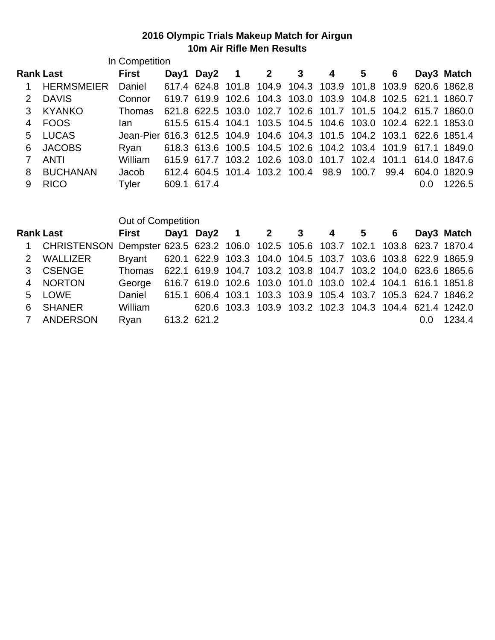## **2016 Olympic Trials Makeup Match for Airgun 10m Air Rifle Men Results**

|               | In Competition    |                                                                        |             |           |                                    |  |             |      |     |                                                              |
|---------------|-------------------|------------------------------------------------------------------------|-------------|-----------|------------------------------------|--|-------------|------|-----|--------------------------------------------------------------|
|               | <b>Rank Last</b>  | <b>First</b>                                                           |             | Day1 Day2 | $2 \t3 \t4$                        |  | $5^{\circ}$ | 6    |     | Day3 Match                                                   |
|               | <b>HERMSMEIER</b> | Daniel                                                                 |             |           |                                    |  |             |      |     | 617.4 624.8 101.8 104.9 104.3 103.9 101.8 103.9 620.6 1862.8 |
| $\mathcal{P}$ | <b>DAVIS</b>      | Connor                                                                 |             |           |                                    |  |             |      |     | 619.7 619.9 102.6 104.3 103.0 103.9 104.8 102.5 621.1 1860.7 |
| 3             | <b>KYANKO</b>     | Thomas                                                                 |             |           |                                    |  |             |      |     | 621.8 622.5 103.0 102.7 102.6 101.7 101.5 104.2 615.7 1860.0 |
| 4             | <b>FOOS</b>       | lan                                                                    |             |           |                                    |  |             |      |     | 615.5 615.4 104.1 103.5 104.5 104.6 103.0 102.4 622.1 1853.0 |
| 5.            | LUCAS             | Jean-Pier 616.3 612.5 104.9 104.6 104.3 101.5 104.2 103.1 622.6 1851.4 |             |           |                                    |  |             |      |     |                                                              |
| 6             | <b>JACOBS</b>     | Rvan                                                                   |             |           |                                    |  |             |      |     | 618.3 613.6 100.5 104.5 102.6 104.2 103.4 101.9 617.1 1849.0 |
|               | <b>ANTI</b>       | William                                                                |             |           |                                    |  |             |      |     | 615.9 617.7 103.2 102.6 103.0 101.7 102.4 101.1 614.0 1847.6 |
| 8             | <b>BUCHANAN</b>   | Jacob                                                                  |             |           | 612.4 604.5 101.4 103.2 100.4 98.9 |  | 100.7       | 99.4 |     | 604.0 1820.9                                                 |
| 9             | <b>RICO</b>       | Tyler                                                                  | 609.1 617.4 |           |                                    |  |             |      | 0.0 | 1226.5                                                       |

|                                                                                     | Out of Competition                                                  |  |  |                       |  |  |                                                              |
|-------------------------------------------------------------------------------------|---------------------------------------------------------------------|--|--|-----------------------|--|--|--------------------------------------------------------------|
| <b>Rank Last</b>                                                                    | First                                                               |  |  | Day1 Day2 1 2 3 4 5 6 |  |  | Day3 Match                                                   |
| 1 CHRISTENSON Dempster 623.5 623.2 106.0 102.5 105.6 103.7 102.1 103.8 623.7 1870.4 |                                                                     |  |  |                       |  |  |                                                              |
| 2 WALLIZER                                                                          | Bryant 620.1 622.9 103.3 104.0 104.5 103.7 103.6 103.8 622.9 1865.9 |  |  |                       |  |  |                                                              |
| 3 CSENGE                                                                            | Thomas 622.1 619.9 104.7 103.2 103.8 104.7 103.2 104.0 623.6 1865.6 |  |  |                       |  |  |                                                              |
| 4 NORTON                                                                            | George 616.7 619.0 102.6 103.0 101.0 103.0 102.4 104.1 616.1 1851.8 |  |  |                       |  |  |                                                              |
| 5 LOWE                                                                              | Daniel                                                              |  |  |                       |  |  | 615.1 606.4 103.1 103.3 103.9 105.4 103.7 105.3 624.7 1846.2 |
| 6 SHANER                                                                            | William                                                             |  |  |                       |  |  | 620.6 103.3 103.9 103.2 102.3 104.3 104.4 621.4 1242.0       |
| 7 ANDERSON                                                                          | Ryan 613.2 621.2                                                    |  |  |                       |  |  | 0.0 1234.4                                                   |
|                                                                                     |                                                                     |  |  |                       |  |  |                                                              |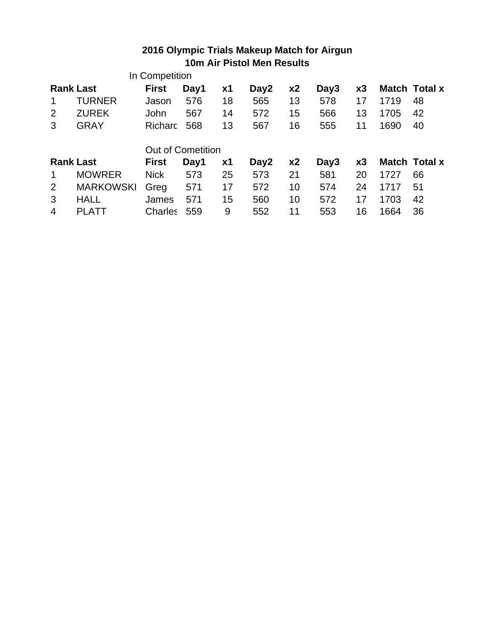## **2016 Olympic Trials Makeup Match for Airgun 10m Air Pistol Men Results**

|                  |                  | In Competition           |      |           |      |                |      |    |      |               |
|------------------|------------------|--------------------------|------|-----------|------|----------------|------|----|------|---------------|
| <b>Rank Last</b> |                  | <b>First</b>             | Day1 | х1        | Day2 | x <sub>2</sub> | Day3 | x3 |      | Match Total x |
|                  | TURNER           | Jason                    | 576  | 18        | 565  | 13             | 578  | 17 | 1719 | 48            |
| 2                | <b>ZUREK</b>     | John                     | 567  | 14        | 572  | 15             | 566  | 13 | 1705 | 42            |
| 3                | GRAY             | <b>Richard</b>           | 568  | 13        | 567  | 16             | 555  | 11 | 1690 | 40            |
|                  |                  |                          |      |           |      |                |      |    |      |               |
|                  |                  | <b>Out of Cometition</b> |      |           |      |                |      |    |      |               |
| <b>Rank Last</b> |                  | <b>First</b>             | Day1 | <b>x1</b> | Day2 | x <sub>2</sub> | Day3 | x3 |      | Match Total x |
|                  | <b>MOWRER</b>    | <b>Nick</b>              | 573  | 25        | 573  | 21             | 581  | 20 | 1727 | 66            |
| 2                | <b>MARKOWSKI</b> | Greg                     | 571  | 17        | 572  | 10             | 574  | 24 | 1717 | 51            |
| 3                | <b>HALL</b>      | James                    | 571  | 15        | 560  | 10             | 572  | 17 | 1703 | 42            |
| 4                | PLATT            | Charles                  | 559  | 9         | 552  | 11             | 553  | 16 | 1664 | 36            |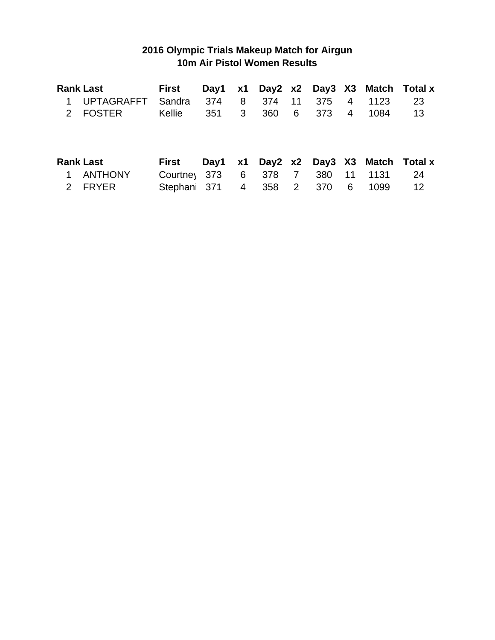## **2016 Olympic Trials Makeup Match for Airgun 10m Air Pistol Women Results**

|             | <b>Rank Last</b>  | <b>First</b> | Day1 | <b>x1</b>      |     |                |     |                |      | Day2 x2 Day3 X3 Match Total x |
|-------------|-------------------|--------------|------|----------------|-----|----------------|-----|----------------|------|-------------------------------|
|             | <b>UPTAGRAFFT</b> | Sandra       | 374  | 8              | 374 | 11             | 375 | $\overline{4}$ | 1123 | 23                            |
|             | 2 FOSTER          | Kellie       | 351  | $\mathbf{3}$   | 360 | 6              | 373 | 4              | 1084 | 13                            |
|             |                   |              |      |                |     |                |     |                |      |                               |
|             | <b>Rank Last</b>  | First        | Day1 | <b>x1</b>      |     |                |     |                |      | Day2 x2 Day3 X3 Match Total x |
|             | <b>ANTHONY</b>    | Courtney 373 |      | 6              | 378 | $\overline{7}$ | 380 | $-11$          | 1131 | 24                            |
| $2^{\circ}$ | <b>FRYER</b>      | Stephani 371 |      | $\overline{4}$ | 358 | $\overline{2}$ | 370 | 6              | 1099 | $12 \,$                       |